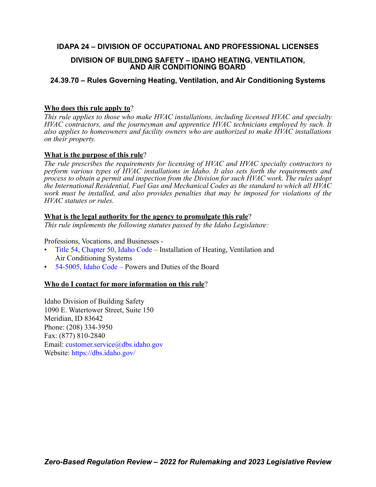# **IDAPA 24 – DIVISION OF OCCUPATIONAL AND PROFESSIONAL LICENSES**

# **DIVISION OF BUILDING SAFETY – IDAHO HEATING, VENTILATION, AND AIR CONDITIONING BOARD**

# **24.39.70 – Rules Governing Heating, Ventilation, and Air Conditioning Systems**

# **Who does this rule apply to**?

*This rule applies to those who make HVAC installations, including licensed HVAC and specialty HVAC contractors, and the journeyman and apprentice HVAC technicians employed by such. It also applies to homeowners and facility owners who are authorized to make HVAC installations on their property.* 

# **What is the purpose of this rule**?

*The rule prescribes the requirements for licensing of HVAC and HVAC specialty contractors to perform various types of HVAC installations in Idaho. It also sets forth the requirements and process to obtain a permit and inspection from the Division for such HVAC work. The rules adopt the International Residential, Fuel Gas and Mechanical Codes as the standard to which all HVAC work must be installed, and also provides penalties that may be imposed for violations of the HVAC statutes or rules.*

# **What is the legal authority for the agency to promulgate this rule**?

*This rule implements the following statutes passed by the Idaho Legislature:*

# Professions, Vocations, and Businesses -

- [Title 54, Chapter 50, Idaho Code](https://legislature.idaho.gov/statutesrules/idstat/Title54/T54CH50/)  Installation of Heating, Ventilation and Air Conditioning Systems
- [54-5005, Idaho Code](https://legislature.idaho.gov/statutesrules/idstat/Title54/T54CH50/SECT54-5005/)  Powers and Duties of the Board

# **Who do I contact for more information on this rule**?

Idaho Division of Building Safety 1090 E. Watertower Street, Suite 150 Meridian, ID 83642 Phone: (208) 334-3950 Fax: (877) 810-2840 Email: [customer.service@dbs.idaho.gov](mailto:customer.service@dbs.idaho.gov) Website: <https://dbs.idaho.gov/>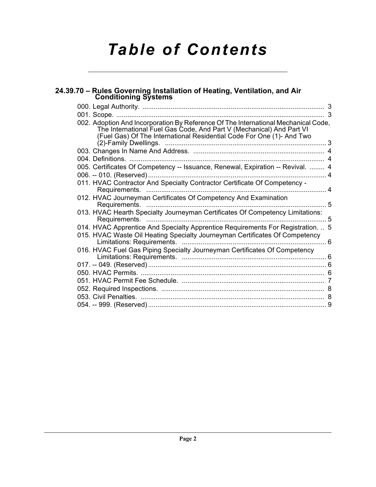# *Table of Contents*

| 24.39.70 - Rules Governing Installation of Heating, Ventilation, and Air<br><b>Conditioning Systems</b>                                                                                                                             |  |
|-------------------------------------------------------------------------------------------------------------------------------------------------------------------------------------------------------------------------------------|--|
|                                                                                                                                                                                                                                     |  |
|                                                                                                                                                                                                                                     |  |
| 002. Adoption And Incorporation By Reference Of The International Mechanical Code,<br>The International Fuel Gas Code, And Part V (Mechanical) And Part VI<br>(Fuel Gas) Of The International Residential Code For One (1)- And Two |  |
|                                                                                                                                                                                                                                     |  |
|                                                                                                                                                                                                                                     |  |
| 005. Certificates Of Competency -- Issuance, Renewal, Expiration -- Revival.  4                                                                                                                                                     |  |
| 011. HVAC Contractor And Specialty Contractor Certificate Of Competency -                                                                                                                                                           |  |
| 012. HVAC Journeyman Certificates Of Competency And Examination                                                                                                                                                                     |  |
| 013. HVAC Hearth Specialty Journeyman Certificates Of Competency Limitations:<br>Requirements.                                                                                                                                      |  |
| 014. HVAC Apprentice And Specialty Apprentice Requirements For Registration.  5                                                                                                                                                     |  |
| 015. HVAC Waste Oil Heating Specialty Journeyman Certificates Of Competency<br>. 6                                                                                                                                                  |  |
| 016. HVAC Fuel Gas Piping Specialty Journeyman Certificates Of Competency                                                                                                                                                           |  |
|                                                                                                                                                                                                                                     |  |
|                                                                                                                                                                                                                                     |  |
|                                                                                                                                                                                                                                     |  |
|                                                                                                                                                                                                                                     |  |
|                                                                                                                                                                                                                                     |  |
|                                                                                                                                                                                                                                     |  |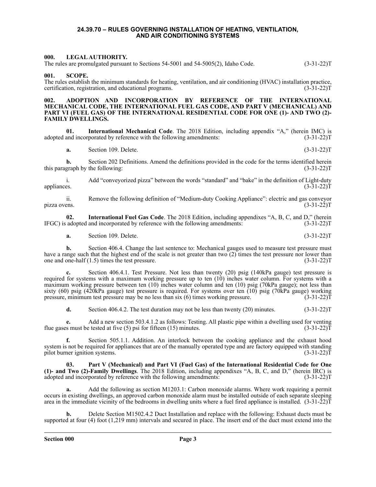#### **24.39.70 – RULES GOVERNING INSTALLATION OF HEATING, VENTILATION, AND AIR CONDITIONING SYSTEMS**

#### <span id="page-2-1"></span><span id="page-2-0"></span>**000. LEGAL AUTHORITY.**

The rules are promulgated pursuant to Sections 54-5001 and 54-5005(2), Idaho Code. (3-31-22)T

<span id="page-2-2"></span>**001. SCOPE.**

The rules establish the minimum standards for heating, ventilation, and air conditioning (HVAC) installation practice, certification, registration, and educational programs. (3-31-22)T

#### <span id="page-2-3"></span>ADOPTION AND INCORPORATION BY REFERENCE OF THE INTERNATIONAL **MECHANICAL CODE, THE INTERNATIONAL FUEL GAS CODE, AND PART V (MECHANICAL) AND PART VI (FUEL GAS) OF THE INTERNATIONAL RESIDENTIAL CODE FOR ONE (1)- AND TWO (2)- FAMILY DWELLINGS.**

**01.** International Mechanical Code. The 2018 Edition, including appendix "A," (herein IMC) is and incorporated by reference with the following amendments: (3-31-22) adopted and incorporated by reference with the following amendments:

**a.** Section 109. Delete. (3-31-22)T

**b.** Section 202 Definitions. Amend the definitions provided in the code for the terms identified herein graph by the following: (3-31-22) this paragraph by the following:

i. Add "conveyorized pizza" between the words "standard" and "bake" in the definition of Light-duty appliances. (3-31-22) appliances.  $(3-31-22)T$ 

ii. Remove the following definition of "Medium-duty Cooking Appliance": electric and gas conveyor<br>(3-31-22)T pizza ovens.

**02.** International Fuel Gas Code. The 2018 Edition, including appendixes "A, B, C, and D," (herein adopted and incorporated by reference with the following amendments: (3-31-22) IFGC) is adopted and incorporated by reference with the following amendments:

**a.** Section 109. Delete. (3-31-22)T

**b.** Section 406.4. Change the last sentence to: Mechanical gauges used to measure test pressure must have a range such that the highest end of the scale is not greater than two (2) times the test pressure nor lower than one and one-half (1.5) times the test pressure. (3-31-22) one and one-half  $(1.5)$  times the test pressure.

**c.** Section 406.4.1. Test Pressure. Not less than twenty (20) psig (140kPa gauge) test pressure is required for systems with a maximum working pressure up to ten (10) inches water column. For systems with a maximum working pressure between ten (10) inches water column and ten (10) psig (70kPa gauge); not less than sixty (60) psig (420kPa gauge) test pressure is required. For systems over ten (10) psig (70kPa gauge) working pressure, minimum test pressure may be no less than six (6) times working pressure. (3-31-22)T pressure, minimum test pressure may be no less than  $s$ ix  $(6)$  times working pressure.

**d.** Section 406.4.2. The test duration may not be less than twenty (20) minutes. (3-31-22)T

**e.** Add a new section 503.4.1.2 as follows: Testing. All plastic pipe within a dwelling used for venting flue gases must be tested at five (5) psi for fifteen (15) minutes. (3-31-22) T

**f.** Section 505.1.1. Addition. An interlock between the cooking appliance and the exhaust hood system is not be required for appliances that are of the manually operated type and are factory equipped with standing pilot burner ignition systems. (3-31-22) pilot burner ignition systems.

**03. Part V (Mechanical) and Part VI (Fuel Gas) of the International Residential Code for One (1)- and Two (2)-Family Dwellings**. The 2018 Edition, including appendixes "A, B, C, and D," (herein IRC) is adopted and incorporated by reference with the following amendments:

**a.** Add the following as section M1203.1: Carbon monoxide alarms. Where work requiring a permit occurs in existing dwellings, an approved carbon monoxide alarm must be installed outside of each separate sleeping area in the immediate vicinity of the bedrooms in dwelling units where a fuel fired appliance is installed. (3-31-22)T

**b.** Delete Section M1502.4.2 Duct Installation and replace with the following: Exhaust ducts must be supported at four (4) foot (1,219 mm) intervals and secured in place. The insert end of the duct must extend into the

**Section 000 Page 3**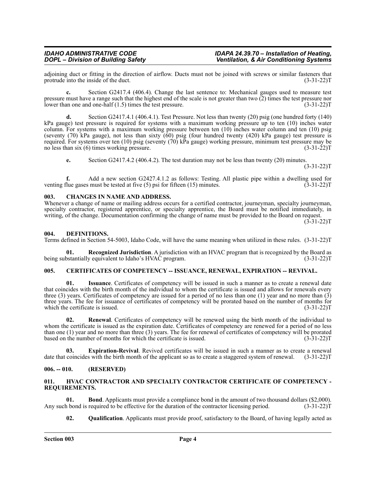adjoining duct or fitting in the direction of airflow. Ducts must not be joined with screws or similar fasteners that protrude into the inside of the duct. (3-31-22) protrude into the inside of the duct.

**c.** Section G2417.4 (406.4). Change the last sentence to: Mechanical gauges used to measure test pressure must have a range such that the highest end of the scale is not greater than two (2) times the test pressure nor lower than one and one-half (1.5) times the test pressure. (3-31-22)T

**d.** Section G2417.4.1 (406.4.1). Test Pressure. Not less than twenty (20) psig (one hundred forty (140) kPa gauge) test pressure is required for systems with a maximum working pressure up to ten (10) inches water column. For systems with a maximum working pressure between ten (10) inches water column and ten (10) psig (seventy (70) kPa gauge), not less than sixty (60) psig (four hundred twenty (420) kPa gauge) test pressure is required. For systems over ten (10) psig (seventy (70) kPa gauge) working pressure, minimum test pressure may be<br>no less than six (6) times working pressure. (3-31-22) no less than six  $(6)$  times working pressure.

**e.** Section G2417.4.2 (406.4.2). The test duration may not be less than twenty (20) minutes.

 $(3-31-22)T$ 

**f.** Add a new section G2427.4.1.2 as follows: Testing. All plastic pipe within a dwelling used for venting flue gases must be tested at five (5) psi for fifteen (15) minutes. (3-31-22)T

#### <span id="page-3-0"></span>**003. CHANGES IN NAME AND ADDRESS.**

Whenever a change of name or mailing address occurs for a certified contractor, journeyman, specialty journeyman, specialty contractor, registered apprentice, or specialty apprentice, the Board must be notified immediately, in writing, of the change. Documentation confirming the change of name must be provided to the Board on request.

### (3-31-22)T

#### <span id="page-3-1"></span>**004. DEFINITIONS.**

Terms defined in Section 54-5003, Idaho Code, will have the same meaning when utilized in these rules. (3-31-22)T

**01. Recognized Jurisdiction**. A jurisdiction with an HVAC program that is recognized by the Board as being substantially equivalent to Idaho's HVAC program.

# <span id="page-3-2"></span>005. CERTIFICATES OF COMPETENCY -- ISSUANCE, RENEWAL, EXPIRATION -- REVIVAL.

**01. Issuance**. Certificates of competency will be issued in such a manner as to create a renewal date that coincides with the birth month of the individual to whom the certificate is issued and allows for renewals every three (3) years. Certificates of competency are issued for a period of no less than one (1) year and no more than (3) three years. The fee for issuance of certificates of competency will be prorated based on the number of months for which the certificate is issued. (3-31-22)T

**02. Renewal**. Certificates of competency will be renewed using the birth month of the individual to whom the certificate is issued as the expiration date. Certificates of competency are renewed for a period of no less than one (1) year and no more than three (3) years. The fee for renewal of certificates of competency will be prorated based on the number of months for which the certificate is issued.  $(3-31-22)$ based on the number of months for which the certificate is issued.

**03. Expiration-Revival**. Revived certificates will be issued in such a manner as to create a renewal date that coincides with the birth month of the applicant so as to create a staggered system of renewal. (3-31-22)T

### <span id="page-3-3"></span>**006. -- 010. (RESERVED)**

#### <span id="page-3-4"></span>**011. HVAC CONTRACTOR AND SPECIALTY CONTRACTOR CERTIFICATE OF COMPETENCY - REQUIREMENTS.**

**01. Bond**. Applicants must provide a compliance bond in the amount of two thousand dollars (\$2,000). h bond is required to be effective for the duration of the contractor licensing period. (3-31-22) Any such bond is required to be effective for the duration of the contractor licensing period.

**02. Qualification**. Applicants must provide proof, satisfactory to the Board, of having legally acted as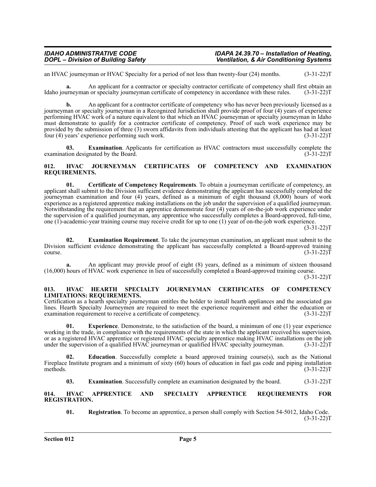### *IDAHO ADMINISTRATIVE CODE IDAPA 24.39.70 – Installation of Heating,* **Ventilation, & Air Conditioning Systems**

an HVAC journeyman or HVAC Specialty for a period of not less than twenty-four (24) months. (3-31-22)T

**a.** An applicant for a contractor or specialty contractor certificate of competency shall first obtain an uneversity contractor or specialty journeyman certificate of competency in accordance with these rules. (3-31-22) Idaho journeyman or specialty journeyman certificate of competency in accordance with these rules.

**b.** An applicant for a contractor certificate of competency who has never been previously licensed as a journeyman or specialty journeyman in a Recognized Jurisdiction shall provide proof of four (4) years of experience performing HVAC work of a nature equivalent to that which an HVAC journeyman or specialty journeyman in Idaho must demonstrate to qualify for a contractor certificate of competency. Proof of such work experience may be provided by the submission of three (3) sworn affidavits from individuals attesting that the applicant has had at least four (4) years' experience performing such work. (3-31-22)  $\frac{1}{2}$  four (4) years' experience performing such work.

**03. Examination**. Applicants for certification as HVAC contractors must successfully complete the examination designated by the Board. (3-31-22)T

#### <span id="page-4-0"></span>**012. HVAC JOURNEYMAN CERTIFICATES OF COMPETENCY AND EXAMINATION REQUIREMENTS.**

**01. Certificate of Competency Requirements**. To obtain a journeyman certificate of competency, an applicant shall submit to the Division sufficient evidence demonstrating the applicant has successfully completed the journeyman examination and four (4) years, defined as a minimum of eight thousand (8,000) hours of work experience as a registered apprentice making installations on the job under the supervision of a qualified journeyman. Notwithstanding the requirement that an apprentice demonstrate four (4) years of on-the-job work experience under the supervision of a qualified journeyman, any apprentice who successfully completes a Board-approved, full-time, one (1)-academic-year training course may receive credit for up to one (1) year of on-the-job work experience.

(3-31-22)T

**02. Examination Requirement**. To take the journeyman examination, an applicant must submit to the Division sufficient evidence demonstrating the applicant has successfully completed a Board-approved training course.  $(3-31-22)T$ 

**a.** An applicant may provide proof of eight (8) years, defined as a minimum of sixteen thousand (16,000) hours of HVAC work experience in lieu of successfully completed a Board-approved training course.

 $(3-31-22)T$ 

#### <span id="page-4-1"></span>**013. HVAC HEARTH SPECIALTY JOURNEYMAN CERTIFICATES OF COMPETENCY LIMITATIONS: REQUIREMENTS.**

Certification as a hearth specialty journeyman entitles the holder to install hearth appliances and the associated gas lines. Hearth Specialty Journeymen are required to meet the experience requirement and either the education or<br>examination requirement to receive a certificate of competency. (3-31-22) examination requirement to receive a certificate of competency.

**01. Experience**. Demonstrate, to the satisfaction of the board, a minimum of one (1) year experience working in the trade, in compliance with the requirements of the state in which the applicant received his supervision, or as a registered HVAC apprentice or registered HVAC specialty apprentice making HVAC installations on the job under the supervision of a qualified HVAC journeyman or qualified HVAC specialty journeyman. (3-31-22)T

**Education**. Successfully complete a board approved training course(s), such as the National Fireplace Institute program and a minimum of sixty (60) hours of education in fuel gas code and piping installation methods.  $(3-31-22)T$ 

**03. Examination**. Successfully complete an examination designated by the board. (3-31-22)T

<span id="page-4-2"></span>**014. HVAC APPRENTICE AND SPECIALTY APPRENTICE REQUIREMENTS FOR REGISTRATION.**

**01. Registration**. To become an apprentice, a person shall comply with Section 54-5012, Idaho Code.  $(3-31-22)T$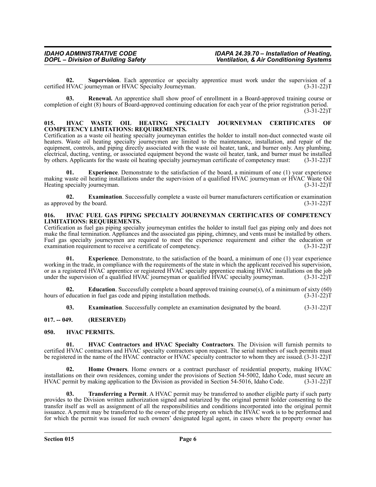**02. Supervision**. Each apprentice or specialty apprentice must work under the supervision of a certified HVAC journeyman or HVAC Specialty Journeyman. (3-31-22)T

**03. Renewal.** An apprentice shall show proof of enrollment in a Board-approved training course or completion of eight (8) hours of Board-approved continuing education for each year of the prior registration period. (3-31-22)T

#### <span id="page-5-0"></span>**015. HVAC WASTE OIL HEATING SPECIALTY JOURNEYMAN CERTIFICATES OF COMPETENCY LIMITATIONS: REQUIREMENTS.**

Certification as a waste oil heating specialty journeyman entitles the holder to install non-duct connected waste oil heaters. Waste oil heating specialty journeymen are limited to the maintenance, installation, and repair of the equipment, controls, and piping directly associated with the waste oil heater, tank, and burner only. Any plumbing, electrical, ducting, venting, or associated equipment beyond the waste oil heater, tank, and burner must be installed by others. Applicants for the waste oil heating specialty journeyman certificate of competency must: (3-31-22)T

**01. Experience**. Demonstrate to the satisfaction of the board, a minimum of one (1) year experience making waste oil heating installations under the supervision of a qualified HVAC journeyman or HVAC Waste Oil Heating specialty journeyman. (3-31-22)T

**02. Examination**. Successfully complete a waste oil burner manufacturers certification or examination ved by the board. (3-31-22) as approved by the board.

#### <span id="page-5-1"></span>**016. HVAC FUEL GAS PIPING SPECIALTY JOURNEYMAN CERTIFICATES OF COMPETENCY LIMITATIONS: REQUIREMENTS.**

Certification as fuel gas piping specialty journeyman entitles the holder to install fuel gas piping only and does not make the final termination. Appliances and the associated gas piping, chimney, and vents must be installed by others. Fuel gas specialty journeymen are required to meet the experience requirement and either the education or examination requirement to receive a certificate of competency. (3-31-22) examination requirement to receive a certificate of competency.

**01. Experience**. Demonstrate, to the satisfaction of the board, a minimum of one (1) year experience working in the trade, in compliance with the requirements of the state in which the applicant received his supervision, or as a registered HVAC apprentice or registered HVAC specialty apprentice making HVAC installations on the job under the supervision of a qualified HVAC journeyman or qualified HVAC specialty journeyman. (3-31-22)T

**02. Education**. Successfully complete a board approved training course(s), of a minimum of sixty (60) hours of education in fuel gas code and piping installation methods.

**03. Examination**. Successfully complete an examination designated by the board. (3-31-22)T

### <span id="page-5-2"></span>**017. -- 049. (RESERVED)**

### <span id="page-5-3"></span>**050. HVAC PERMITS.**

**01. HVAC Contractors and HVAC Specialty Contractors**. The Division will furnish permits to certified HVAC contractors and HVAC specialty contractors upon request. The serial numbers of such permits must be registered in the name of the HVAC contractor or HVAC specialty contractor to whom they are issued. (3-31-22)T

**02. Home Owners**. Home owners or a contract purchaser of residential property, making HVAC installations on their own residences, coming under the provisions of Section 54-5002, Idaho Code, must secure an HVAC permit by making application to the Division as provided in Section 54-5016, Idaho Code. (3-31-22)T

**03. Transferring a Permit**. A HVAC permit may be transferred to another eligible party if such party provides to the Division written authorization signed and notarized by the original permit holder consenting to the transfer itself as well as assignment of all the responsibilities and conditions incorporated into the original permit issuance. A permit may be transferred to the owner of the property on which the HVAC work is to be performed and for which the permit was issued for such owners' designated legal agent, in cases where the property owner has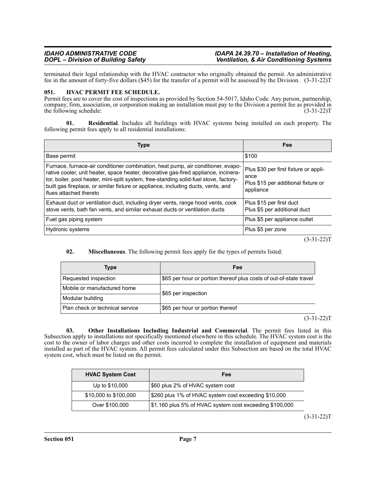#### *IDAHO ADMINISTRATIVE CODE IDAPA 24.39.70 – Installation of Heating, Ventilation, & Air Conditioning Systems*

terminated their legal relationship with the HVAC contractor who originally obtained the permit. An administrative fee in the amount of forty-five dollars (\$45) for the transfer of a permit will be assessed by the Division. (3-31-22)T

#### <span id="page-6-0"></span>**051. HVAC PERMIT FEE SCHEDULE.**

Permit fees are to cover the cost of inspections as provided by Section 54-5017, Idaho Code. Any person, partnership, company, firm, association, or corporation making an installation must pay to the Division a permit fee as provided in the following schedule: (3-31-22) the following schedule:

**01. Residential**. Includes all buildings with HVAC systems being installed on each property. The following permit fees apply to all residential installations:

| <b>Type</b>                                                                                                                                                                                                                                                                                                                                                                     | Fee                                                                                               |
|---------------------------------------------------------------------------------------------------------------------------------------------------------------------------------------------------------------------------------------------------------------------------------------------------------------------------------------------------------------------------------|---------------------------------------------------------------------------------------------------|
| Base permit                                                                                                                                                                                                                                                                                                                                                                     | \$100                                                                                             |
| Furnace, furnace-air conditioner combination, heat pump, air conditioner, evapo-<br>rative cooler, unit heater, space heater, decorative gas-fired appliance, incinera-<br>tor, boiler, pool heater, mini-split system, free-standing solid-fuel stove, factory-<br>built gas fireplace, or similar fixture or appliance, including ducts, vents, and<br>flues attached thereto | Plus \$30 per first fixture or appli-<br>ance<br>Plus \$15 per additional fixture or<br>appliance |
| Exhaust duct or ventilation duct, including dryer vents, range hood vents, cook<br>stove vents, bath fan vents, and similar exhaust ducts or ventilation ducts                                                                                                                                                                                                                  | Plus \$15 per first duct<br>Plus \$5 per additional duct                                          |
| Fuel gas piping system                                                                                                                                                                                                                                                                                                                                                          | Plus \$5 per appliance outlet                                                                     |
| Hydronic systems                                                                                                                                                                                                                                                                                                                                                                | Plus \$5 per zone                                                                                 |

 $(3-31-22)T$ 

### **02. Miscellaneous**. The following permit fees apply for the types of permits listed:

| Type                            | Fee                                                                |  |
|---------------------------------|--------------------------------------------------------------------|--|
| Requested inspection            | \$65 per hour or portion thereof plus costs of out-of-state travel |  |
| Mobile or manufactured home     | \$65 per inspection                                                |  |
| Modular building                |                                                                    |  |
| Plan check or technical service | \$65 per hour or portion thereof                                   |  |

 $(3-31-22)T$ 

**03. Other Installations Including Industrial and Commercial**. The permit fees listed in this Subsection apply to installations not specifically mentioned elsewhere in this schedule. The HVAC system cost is the cost to the owner of labor charges and other costs incurred to complete the installation of equipment and materials installed as part of the HVAC system. All permit fees calculated under this Subsection are based on the total HVAC system cost, which must be listed on the permit.

| <b>HVAC System Cost</b> | Fee                                                     |
|-------------------------|---------------------------------------------------------|
| Up to \$10,000          | \$60 plus 2% of HVAC system cost                        |
| \$10,000 to \$100,000   | \$260 plus 1% of HVAC system cost exceeding \$10,000    |
| Over \$100,000          | \$1,160 plus 5% of HVAC system cost exceeding \$100,000 |

 $(3-31-22)T$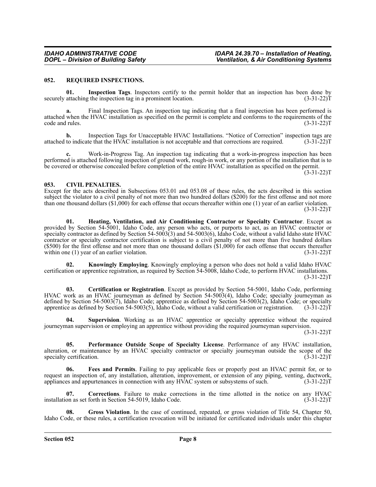#### <span id="page-7-0"></span>**052. REQUIRED INSPECTIONS.**

**01. Inspection Tags**. Inspectors certify to the permit holder that an inspection has been done by securely attaching the inspection tag in a prominent location. (3-31-22) from the inspection of the inspection tag in a prominent location.

**a.** Final Inspection Tags. An inspection tag indicating that a final inspection has been performed is attached when the HVAC installation as specified on the permit is complete and conforms to the requirements of the code and rules. (3-31-22)T

**b.** Inspection Tags for Unacceptable HVAC Installations. "Notice of Correction" inspection tags are to indicate that the HVAC installation is not acceptable and that corrections are required. (3-31-22)T attached to indicate that the HVAC installation is not acceptable and that corrections are required.

Work-in-Progress Tag. An inspection tag indicating that a work-in-progress inspection has been performed is attached following inspection of ground work, rough-in work, or any portion of the installation that is to be covered or otherwise concealed before completion of the entire HVAC installation as specified on the permit.  $(3-31-22)T$ 

#### <span id="page-7-1"></span>**053. CIVIL PENALTIES.**

Except for the acts described in Subsections 053.01 and 053.08 of these rules, the acts described in this section subject the violator to a civil penalty of not more than two hundred dollars (\$200) for the first offense and not more than one thousand dollars  $(\$1,000)$  for each offense that occurs thereafter within one (1) year of an earlier violation.  $(3-31-22)T$ 

**01. Heating, Ventilation, and Air Conditioning Contractor or Specialty Contractor**. Except as provided by Section 54-5001, Idaho Code, any person who acts, or purports to act, as an HVAC contractor or specialty contractor as defined by Section 54-5003(3) and 54-5003(6), Idaho Code, without a valid Idaho state HVAC contractor or specialty contractor certification is subject to a civil penalty of not more than five hundred dollars (\$500) for the first offense and not more than one thousand dollars  $(1,000)$  for each offense that occurs thereafter within one (1) year of an earlier violation. (3-31-22)T

**02. Knowingly Employing**. Knowingly employing a person who does not hold a valid Idaho HVAC certification or apprentice registration, as required by Section 54-5008, Idaho Code, to perform HVAC installations.  $(3-31-22)T$ 

**03. Certification or Registration**. Except as provided by Section 54-5001, Idaho Code, performing HVAC work as an HVAC journeyman as defined by Section 54-5003(4), Idaho Code; specialty journeyman as defined by Section 54-5003(7), Idaho Code; apprentice as defined by Section 54-5003(2), Idaho Code; or specialty apprentice as defined by Section 54-5003(5), Idaho Code, without a valid certification or registration. (3-31-22)T

**Supervision**. Working as an HVAC apprentice or specialty apprentice without the required journeyman supervision or employing an apprentice without providing the required journeyman supervision.

 $(3-31-22)T$ 

**05. Performance Outside Scope of Specialty License**. Performance of any HVAC installation, alteration, or maintenance by an HVAC specialty contractor or specialty journeyman outside the scope of the specialty certification. (3-31-22)T

**06. Fees and Permits**. Failing to pay applicable fees or properly post an HVAC permit for, or to request an inspection of, any installation, alteration, improvement, or extension of any piping, venting, ductwork, appliances and appurtenances in connection with any HVAC system or subsystems of such. (3-31-22)T

**07. Corrections**. Failure to make corrections in the time allotted in the notice on any HVAC installation as set forth in Section 54-5019, Idaho Code. (3-31-22) T

Gross Violation. In the case of continued, repeated, or gross violation of Title 54, Chapter 50, Idaho Code, or these rules, a certification revocation will be initiated for certificated individuals under this chapter